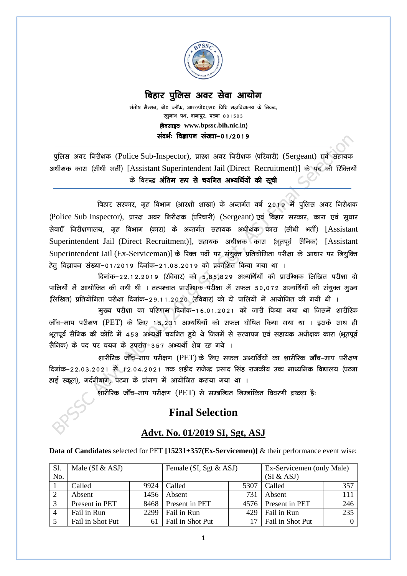

## **बिहार पूलिस अवर सेवा आयोग**

<u>संतोष मैन्शन, बी0 ब्लॉक, आर0पी0एस0 विधि महाविद्यालय के निकट,</u> **रघुनाथ पथ, दानापुर, पटना 801503**  $\phi$  **a**  $\phi$  **www.bpssc.bih.nic.in**) **landarian diversion of 12019** 

**iqfyl voj fujh{kd** (Police Sub-Inspector)**] izkj{k voj fujh{kd ¼ifjpkjh½** (Sergeant) **,oa lgk;d v/kh{kd dkjk ¼lh/kh HkrhZ½** [Assistant Superintendent Jail (Direct Recruitment)] **ds in dh fjfDr;ksa**  के विरूद्ध **अंतिम रूप से चयनित अभ्यर्थियों की सूची** 

बिहार सरकार, गृह विभाग (आरक्षी शाखा) के अन्तर्गत वर्ष 2019 में पूलिस अवर निरीक्षक **¼**Police Sub Inspector**½] i zkj{k voj fujh{kd ¼ifjpkjh½** (Sergeant) **,oa fcgkj ljdkj] dkjk ,oa lq/kkj lsok,Wa fujh{k.kky;] x`g foHkkx ¼dkjk½ ds vUrx Zr lgk;d v/kh{kd dkjk ¼lh/kh HkrhZ½** [Assistant Superintendent Jail (Direct Recruitment)], सहायक अधीक्षक कारा (भूतपूर्व सैनिक) [Assistant Superintendent Jail (Ex-Serviceman)] के रिक्त पदों पर संयुक्त प्रतियोगिता परीक्षा के आधार पर नियूक्ति हेतु विज्ञापन संख्या-01/2019 दिनांक-21.08.2019 को प्रकाशित किया गया था ।

दिनांक-22.12.2019 (रविवार) को 5,85,829 अभ्यर्थियों की प्रारम्भिक लिखित परीक्षा दो पालियों में आयोजित की गयी थी । तत्पश्चात प्रारम्भिक परीक्षा में सफल 50,072 अभ्यर्थियों की संयुक्त मुख्य  $\left(\frac{1}{2}$  क्रियोगिता परीक्षा दिनांक-29.11.2020 (रविवार) को दो पालियों में आयोजित की गयी थी ।

मुख्य परीक्षा का परिणाम दिनांक–16.01.2021 को जारी किया गया था जिसमें शारीरिक **जॉंच-माप परीक्षण (PET) के लिए 15,231 अभ्यर्थियों को सफल घोषित किया गया था । इसके साथ ही Hkwri woZ lSfud dh dksfV esa 453 vH;FkhZ p;fur gq;s Fks ftuesa ls lR;kiu ,oa lgk;d v/kh{kd dkjk ¼HkwriwoZ**  सैनिक) के पद पर चयन के उपरांत<sup>9</sup>357 अभ्यर्थी शेष रह गये ।

**'kkjhfjd tkWap&eki ijh{k.k** (PET) **ds fy, lQy vH;fFkZ;kas dk 'kkjhfjd tkWap&eki ijh{k.k**  दिनांक–22.03.2021 से 12.04.2021 तक शहीद राजेन्द्र प्रसाद सिंह राजकीय उच्च माध्यमिक विद्यालय (पटना हाई स्कूल), गर्दनीबाग, पटना के प्रांगण में आयोजित कराया गया था ।

**'kkjhfjd tkWap&eki ijh{k.k** (PET) **ls lEcfU/kr fuEukafdr fooj.kh nz"VO; gS%**

# **Final Selection**

### **Advt. No. 01/2019 SI, Sgt, ASJ**

**Data of Candidates** selected for PET **[15231+357(Ex-Servicemen)]** & their performance event wise:

| S1.            | Male (SI $&$ ASJ) |      | Female (SI, Sgt & ASJ) |      | Ex-Servicemen (only Male) |     |
|----------------|-------------------|------|------------------------|------|---------------------------|-----|
| No.            |                   |      |                        |      | (SI & ASJ)                |     |
|                | Called            | 9924 | Called                 | 5307 | Called                    | 357 |
| $\overline{2}$ | Absent            | 1456 | Absent                 | 731  | Absent                    | 111 |
| 3              | Present in PET    | 8468 | Present in PET         |      | 4576 Present in PET       | 246 |
| $\overline{4}$ | Fail in Run       | 2299 | Fail in Run            | 429  | Fail in Run               | 235 |
|                | Fail in Shot Put  |      | Fail in Shot Put       |      | Fail in Shot Put          |     |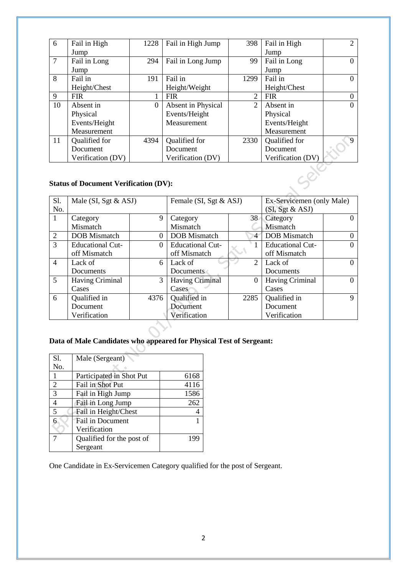| 6              | Fail in High                                 | 1228     | Fail in High Jump                                                            | 398            | Fail in High             | $\overline{2}$              |  |
|----------------|----------------------------------------------|----------|------------------------------------------------------------------------------|----------------|--------------------------|-----------------------------|--|
|                | Jump                                         |          |                                                                              |                | Jump                     |                             |  |
| $\overline{7}$ | Fail in Long                                 | 294      | Fail in Long Jump                                                            | 99             | Fail in Long             | $\Omega$                    |  |
|                | Jump                                         |          |                                                                              |                | Jump                     |                             |  |
| 8              | Fail in                                      | 191      | Fail in                                                                      | 1299           | Fail in                  | $\overline{0}$              |  |
|                | Height/Chest                                 |          | Height/Weight                                                                |                | Height/Chest             |                             |  |
| 9              | <b>FIR</b>                                   |          | <b>FIR</b>                                                                   | $\overline{2}$ | <b>FIR</b>               | $\boldsymbol{0}$            |  |
| 10             | Absent in                                    | $\theta$ | Absent in Physical                                                           | $\overline{2}$ | Absent in                | $\overline{0}$              |  |
|                | Physical                                     |          | Events/Height                                                                |                | Physical                 |                             |  |
|                | Events/Height                                |          | Measurement                                                                  |                | Events/Height            |                             |  |
|                | Measurement                                  |          |                                                                              |                | Measurement              |                             |  |
| 11             | Qualified for                                | 4394     | Qualified for                                                                | 2330           | Qualified for            | 9                           |  |
|                | Document                                     |          | Document                                                                     |                | Document                 |                             |  |
|                | Verification (DV)                            |          | Verification (DV)                                                            |                | Verification (DV)        |                             |  |
|                | <b>Status of Document Verification (DV):</b> |          |                                                                              |                |                          |                             |  |
|                |                                              |          | $\overline{\phantom{0}}$<br>$\sim$ $\sim$ $\sim$ $\sim$ $\sim$ $\sim$ $\sim$ |                | $\overline{\phantom{0}}$ | $\sim$ $\sim$ $\sim$ $\sim$ |  |

#### **Status of Document Verification (DV):**

| Sl.            | Male (SI, Sgt & ASJ)    |      | Female (SI, Sgt & ASJ)  |          | Ex-Servicemen (only Male) |          |
|----------------|-------------------------|------|-------------------------|----------|---------------------------|----------|
| No.            |                         |      |                         |          | (SI, Sgt & ASJ)           |          |
| -1             | Category                | 9    | Category                | 38       | Category                  | $\theta$ |
|                | Mismatch                |      | Mismatch                |          | Mismatch                  |          |
| 2              | <b>DOB</b> Mismatch     | 0    | <b>DOB</b> Mismatch     | 4        | <b>DOB</b> Mismatch       | $\Omega$ |
| $\overline{3}$ | <b>Educational Cut-</b> | 0    | <b>Educational Cut-</b> |          | <b>Educational Cut-</b>   | $\Omega$ |
|                | off Mismatch            |      | off Mismatch            |          | off Mismatch              |          |
| $\overline{4}$ | Lack of                 | 6    | Lack of                 | 2        | Lack of                   | 0        |
|                | Documents               |      | Documents               |          | Documents                 |          |
| 5              | <b>Having Criminal</b>  | 3    | <b>Having Criminal</b>  | $\Omega$ | <b>Having Criminal</b>    | $\Omega$ |
|                | Cases                   |      | Cases                   |          | Cases                     |          |
| 6              | Qualified in            | 4376 | Qualified in            | 2285     | Qualified in              | 9        |
|                | Document                |      | Document                |          | Document                  |          |
|                | Verification            |      | Verification            |          | Verification              |          |

# **Data of Male Candidates who appeared for Physical Test of Sergeant:**

| S1.            | Male (Sergeant)           |      |
|----------------|---------------------------|------|
| No.            |                           |      |
|                | Participated in Shot Put  | 6168 |
| $\overline{2}$ | Fail in Shot Put          | 4116 |
| 3              | Fail in High Jump         | 1586 |
| 4              | Fail in Long Jump         | 262  |
| 5              | Fail in Height/Chest      |      |
|                | Fail in Document          |      |
|                | Verification              |      |
|                | Qualified for the post of | 190  |
|                | Sergeant                  |      |

One Candidate in Ex-Servicemen Category qualified for the post of Sergeant.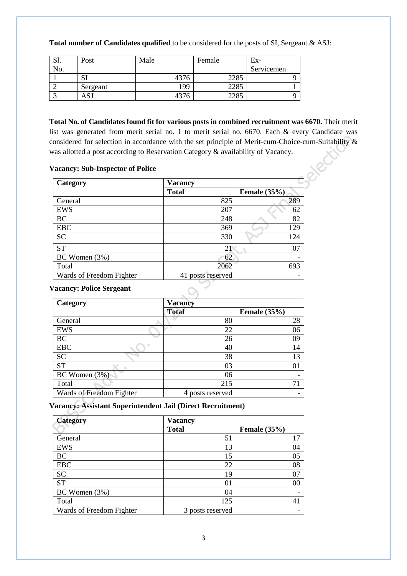| Total number of Candidates qualified to be considered for the posts of SI, Sergeant & ASJ: |  |  |  |  |
|--------------------------------------------------------------------------------------------|--|--|--|--|
|--------------------------------------------------------------------------------------------|--|--|--|--|

| IJΙ. | Post     | Male | Female | Ex-        |
|------|----------|------|--------|------------|
| No.  |          |      |        | Servicemen |
|      | IJΙ      | 4376 | 2285   |            |
|      | Sergeant | 199  | 2285   |            |
|      | പാം      | 4376 | 2285   |            |

**Total No. of Candidates found fit for various posts in combined recruitment was 6670.** Their merit list was generated from merit serial no. 1 to merit serial no. 6670. Each & every Candidate was considered for selection in accordance with the set principle of Merit-cum-Choice-cum-Suitability & was allotted a post according to Reservation Category & availability of Vacancy.

#### **Vacancy: Sub-Inspector of Police**

| Category                 | <b>Vacancy</b> |                          |  |  |
|--------------------------|----------------|--------------------------|--|--|
|                          | <b>Total</b>   | Female $(35%)$           |  |  |
| General                  | 825            | 289                      |  |  |
| <b>EWS</b>               | 207            | 62                       |  |  |
| BC                       | 248            | 82                       |  |  |
| <b>EBC</b>               | 369            | 129                      |  |  |
| <b>SC</b>                | 330            | 124                      |  |  |
| <b>ST</b>                | 21             | 07                       |  |  |
| BC Women (3%)            | 62             | ۰                        |  |  |
| Total                    | 2062           | 693                      |  |  |
| Wards of Freedom Fighter | posts reserved | $\overline{\phantom{0}}$ |  |  |

#### **Vacancy: Police Sergeant**

| Vacancy: Police Sergeant |                  |                |  |  |  |
|--------------------------|------------------|----------------|--|--|--|
| Category                 | <b>Vacancy</b>   |                |  |  |  |
|                          | <b>Total</b>     | Female $(35%)$ |  |  |  |
| General                  | 80               | 28             |  |  |  |
| <b>EWS</b>               | 22               | 06             |  |  |  |
| <b>BC</b>                | 26               | 09             |  |  |  |
| <b>EBC</b>               | 40               | 14             |  |  |  |
| <b>SC</b>                | 38               | 13             |  |  |  |
| <b>ST</b>                | 03               | $\overline{0}$ |  |  |  |
| BC Women (3%)            | 06               |                |  |  |  |
| Total                    | 215              | 71             |  |  |  |
| Wards of Freedom Fighter | 4 posts reserved |                |  |  |  |

**Vacancy: Assistant Superintendent Jail (Direct Recruitment)**

| <b>Category</b>          | <b>Vacancy</b>   |                     |  |  |
|--------------------------|------------------|---------------------|--|--|
|                          | <b>Total</b>     | <b>Female</b> (35%) |  |  |
| General                  | 51               | 17                  |  |  |
| <b>EWS</b>               | 13               | 04                  |  |  |
| BC                       | 15               | 05                  |  |  |
| <b>EBC</b>               | 22               | 08                  |  |  |
| <b>SC</b>                | 19               | 07                  |  |  |
| <b>ST</b>                | 01               | 00                  |  |  |
| BC Women (3%)            | 04               |                     |  |  |
| Total                    | 125              |                     |  |  |
| Wards of Freedom Fighter | 3 posts reserved |                     |  |  |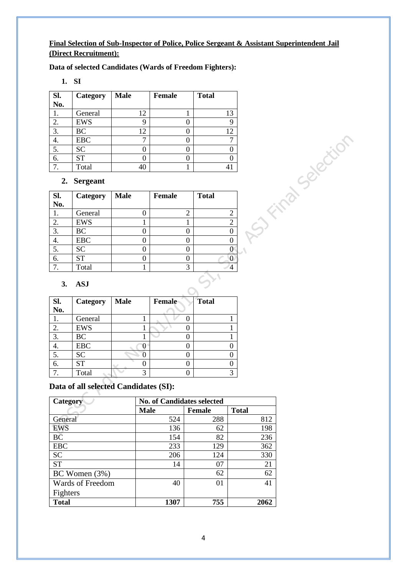#### **Final Selection of Sub-Inspector of Police, Police Sergeant & Assistant Superintendent Jail (Direct Recruitment):**

**Data of selected Candidates (Wards of Freedom Fighters):**

**1. SI**

| Sl. | Category   | <b>Male</b> | <b>Female</b> | <b>Total</b> |
|-----|------------|-------------|---------------|--------------|
| No. |            |             |               |              |
|     | General    | 12          |               | 13           |
| 2.  | <b>EWS</b> | 9           |               |              |
| 3.  | BC         | 12          |               | 12           |
| 4.  | <b>EBC</b> |             |               |              |
| 5.  | <b>SC</b>  |             |               |              |
| 6.  | <b>ST</b>  |             |               |              |
|     | Total      |             |               |              |

### **2. Sergeant**

| Sl.<br>No. | Category   | <b>Male</b> | Female | <b>Total</b> |
|------------|------------|-------------|--------|--------------|
|            | General    |             | 2      |              |
| 2.         | <b>EWS</b> |             |        |              |
| 3.         | BC         |             |        |              |
| 4.         | <b>EBC</b> |             |        |              |
| 5.         | <b>SC</b>  |             |        |              |
| 6.         | <b>ST</b>  |             |        |              |
|            | Total      |             | 3      |              |

#### **3. ASJ**

| Sl.<br>No. | Category   | <b>Male</b> | Female | <b>Total</b> |  |
|------------|------------|-------------|--------|--------------|--|
|            | General    |             |        |              |  |
| 2.         | <b>EWS</b> |             |        |              |  |
| 3.         | <b>BC</b>  |             |        |              |  |
| ч.         | <b>EBC</b> |             |        |              |  |
| 5.         | <b>SC</b>  |             |        |              |  |
| 6.         | <b>ST</b>  |             |        |              |  |
|            | Total      | 3           |        | $\mathbf{c}$ |  |

## **Data of all selected Candidates (SI):**

| Category         | <b>No. of Candidates selected</b> |               |              |  |  |  |
|------------------|-----------------------------------|---------------|--------------|--|--|--|
|                  | <b>Male</b>                       | <b>Female</b> | <b>Total</b> |  |  |  |
| General          | 524                               | 288           | 812          |  |  |  |
| <b>EWS</b>       | 136                               | 62            | 198          |  |  |  |
| BČ               | 154                               | 82            | 236          |  |  |  |
| <b>EBC</b>       | 233                               | 129           | 362          |  |  |  |
| <b>SC</b>        | 206                               | 124           | 330          |  |  |  |
| <b>ST</b>        | 14                                | 07            | 21           |  |  |  |
| BC Women $(3%)$  |                                   | 62            | 62           |  |  |  |
| Wards of Freedom | 40                                | $\Omega$      | 41           |  |  |  |
| Fighters         |                                   |               |              |  |  |  |
| <b>Total</b>     | 1307                              | 755           | 2062         |  |  |  |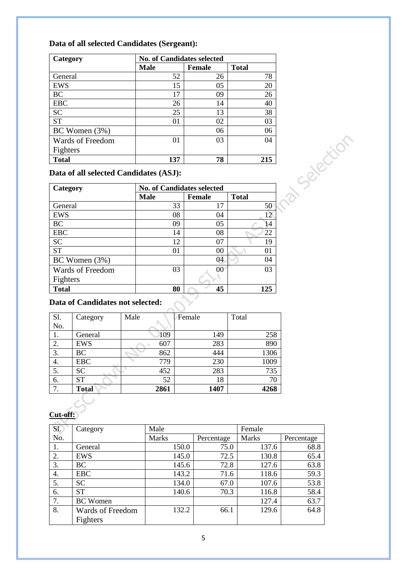# **Data of all selected Candidates (Sergeant):**

| Category         | <b>No. of Candidates selected</b> |               |              |  |  |  |
|------------------|-----------------------------------|---------------|--------------|--|--|--|
|                  | Male                              | <b>Female</b> | <b>Total</b> |  |  |  |
| General          | 52                                | 26            | 78           |  |  |  |
| EWS              | 15                                | 05            | 20           |  |  |  |
| <b>BC</b>        | 17                                | 09            | 26           |  |  |  |
| <b>EBC</b>       | 26                                | 14            | 40           |  |  |  |
| <b>SC</b>        | 25                                | 13            | 38           |  |  |  |
| <b>ST</b>        | 01                                | 02            | 03           |  |  |  |
| BC Women(3%)     |                                   | 06            | 06           |  |  |  |
| Wards of Freedom | 0 <sub>1</sub>                    | 03            | 04           |  |  |  |
| Fighters         |                                   |               |              |  |  |  |
| <b>Total</b>     | 137                               | 78            | 215          |  |  |  |

|  |  |  |  | Data of all selected Candidates (ASJ): |  |  |
|--|--|--|--|----------------------------------------|--|--|
|--|--|--|--|----------------------------------------|--|--|

| Category         | <b>No. of Candidates selected</b> |               |              |  |  |  |
|------------------|-----------------------------------|---------------|--------------|--|--|--|
|                  | <b>Male</b>                       | <b>Female</b> | <b>Total</b> |  |  |  |
| General          | 33                                | 17            | 50           |  |  |  |
| <b>EWS</b>       | 08                                | 04            | 12           |  |  |  |
| BC               | 09                                | 05            | 14           |  |  |  |
| <b>EBC</b>       | 14                                | 08            | 22           |  |  |  |
| <b>SC</b>        | 12                                | 07            | 19           |  |  |  |
| <b>ST</b>        | 0 <sub>1</sub>                    | 00            | 01           |  |  |  |
| BC Women $(3%)$  |                                   | 04            | 04           |  |  |  |
| Wards of Freedom | 03                                | 00            | 03           |  |  |  |
| Fighters         |                                   |               |              |  |  |  |
| <b>Total</b>     | 80                                | 45            | 125          |  |  |  |

# Data of Candidates not selected:

| Sl. | Category     | Male | Female | Total |
|-----|--------------|------|--------|-------|
| No. |              |      |        |       |
|     | General      | 109  | 149    | 258   |
| 2.  | <b>EWS</b>   | 607  | 283    | 890   |
| 3.  | BC           | 862  | 444    | 1306  |
| 4.  | <b>EBC</b>   | 779  | 230    | 1009  |
| 5.  | <b>SC</b>    | 452  | 283    | 735   |
| 6.  | <b>ST</b>    | 52   | 18     | 70    |
| 7.  | <b>Total</b> | 2861 | 1407   | 4268  |

# **Cut-off:**

| S1. | Category                | Male         |            | Female       |            |
|-----|-------------------------|--------------|------------|--------------|------------|
| No. |                         | <b>Marks</b> | Percentage | <b>Marks</b> | Percentage |
| 1.  | General                 | 150.0        | 75.0       | 137.6        | 68.8       |
| 2.  | <b>EWS</b>              | 145.0        | 72.5       | 130.8        | 65.4       |
| 3.  | <b>BC</b>               | 145.6        | 72.8       | 127.6        | 63.8       |
| 4.  | <b>EBC</b>              | 143.2        | 71.6       | 118.6        | 59.3       |
| 5.  | <b>SC</b>               | 134.0        | 67.0       | 107.6        | 53.8       |
| 6.  | <b>ST</b>               | 140.6        | 70.3       | 116.8        | 58.4       |
| 7.  | <b>BC</b> Women         |              |            | 127.4        | 63.7       |
| 8.  | <b>Wards of Freedom</b> | 132.2        | 66.1       | 129.6        | 64.8       |
|     | Fighters                |              |            |              |            |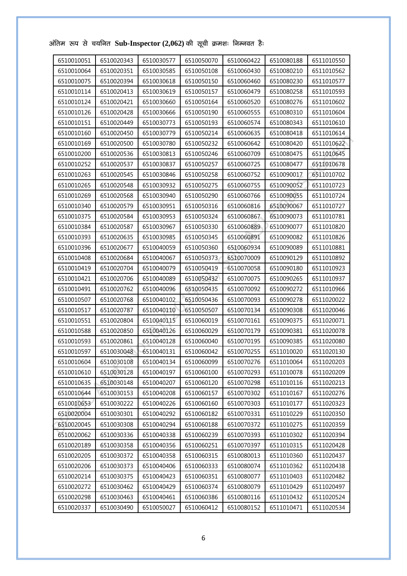| 6510010051 | 6510020343 | 6510030577 | 6510050070 | 6510060422 | 6510080188 | 6511010550 |
|------------|------------|------------|------------|------------|------------|------------|
| 6510010064 | 6510020351 | 6510030585 | 6510050108 | 6510060430 | 6510080210 | 6511010562 |
| 6510010075 | 6510020394 | 6510030618 | 6510050150 | 6510060460 | 6510080230 | 6511010577 |
| 6510010114 | 6510020413 | 6510030619 | 6510050157 | 6510060479 | 6510080258 | 6511010593 |
| 6510010124 | 6510020421 | 6510030660 | 6510050164 | 6510060520 | 6510080276 | 6511010602 |
| 6510010126 | 6510020428 | 6510030666 | 6510050190 | 6510060555 | 6510080310 | 6511010604 |
| 6510010151 | 6510020449 | 6510030773 | 6510050193 | 6510060574 | 6510080343 | 6511010610 |
| 6510010160 | 6510020450 | 6510030779 | 6510050214 | 6510060635 | 6510080418 | 6511010614 |
| 6510010169 | 6510020500 | 6510030780 | 6510050232 | 6510060642 | 6510080420 | 6511010622 |
| 6510010200 | 6510020536 | 6510030813 | 6510050246 | 6510060709 | 6510080475 | 6511010645 |
| 6510010252 | 6510020537 | 6510030837 | 6510050257 | 6510060725 | 6510080477 | 6511010678 |
| 6510010263 | 6510020545 | 6510030846 | 6510050258 | 6510060752 | 6510090017 | 6511010702 |
| 6510010265 | 6510020548 | 6510030932 | 6510050275 | 6510060755 | 6510090052 | 6511010723 |
| 6510010269 | 6510020568 | 6510030940 | 6510050290 | 6510060766 | 6510090055 | 6511010724 |
| 6510010340 | 6510020579 | 6510030951 | 6510050316 | 6510060816 | 6510090067 | 6511010727 |
| 6510010375 | 6510020584 | 6510030953 | 6510050324 | 6510060867 | 6510090073 | 6511010781 |
| 6510010384 | 6510020587 | 6510030967 | 6510050330 | 6510060889 | 6510090077 | 6511010820 |
| 6510010393 | 6510020635 | 6510030985 | 6510050345 | 6510060891 | 6510090082 | 6511010826 |
| 6510010396 | 6510020677 | 6510040059 | 6510050360 | 6510060934 | 6510090089 | 6511010881 |
| 6510010408 | 6510020684 | 6510040067 | 6510050373 | 6510070009 | 6510090129 | 6511010892 |
| 6510010419 | 6510020704 | 6510040079 | 6510050419 | 6510070058 | 6510090180 | 6511010923 |
| 6510010421 | 6510020706 | 6510040089 | 6510050432 | 6510070075 | 6510090265 | 6511010937 |
| 6510010491 | 6510020762 | 6510040096 | 6510050435 | 6510070092 | 6510090272 | 6511010966 |
| 6510010507 | 6510020768 | 6510040102 | 6510050436 | 6510070093 | 6510090278 | 6511020022 |
| 6510010517 | 6510020787 | 6510040110 | 6510050507 | 6510070134 | 6510090308 | 6511020046 |
| 6510010551 | 6510020804 | 6510040115 | 6510060019 | 6510070161 | 6510090375 | 6511020071 |
| 6510010588 | 6510020850 | 6510040126 | 6510060029 | 6510070179 | 6510090381 | 6511020078 |
| 6510010593 | 6510020861 | 6510040128 | 6510060040 | 6510070195 | 6510090385 | 6511020080 |
| 6510010597 | 6510030048 | 6510040131 | 6510060042 | 6510070255 | 6511010020 | 6511020130 |
| 6510010604 | 6510030108 | 6510040134 | 6510060099 | 6510070276 | 6511010064 | 6511020203 |
| 6510010610 | 6510030128 | 6510040197 | 6510060100 | 6510070293 | 6511010078 | 6511020209 |
| 6510010635 | 6510030148 | 6510040207 | 6510060120 | 6510070298 | 6511010116 | 6511020213 |
| 6510010644 | 6510030153 | 6510040208 | 6510060157 | 6510070302 | 6511010167 | 6511020276 |
| 6510010653 | 6510030222 | 6510040226 | 6510060160 | 6510070303 | 6511010177 | 6511020323 |
| 6510020004 | 6510030301 | 6510040292 | 6510060182 | 6510070331 | 6511010229 | 6511020350 |
| 6510020045 | 6510030308 | 6510040294 | 6510060188 | 6510070372 | 6511010275 | 6511020359 |
| 6510020062 | 6510030336 | 6510040338 | 6510060239 | 6510070393 | 6511010302 | 6511020394 |
| 6510020189 | 6510030358 | 6510040356 | 6510060251 | 6510070397 | 6511010315 | 6511020428 |
| 6510020205 | 6510030372 | 6510040358 | 6510060315 | 6510080013 | 6511010360 | 6511020437 |
| 6510020206 | 6510030373 | 6510040406 | 6510060333 | 6510080074 | 6511010362 | 6511020438 |
| 6510020214 | 6510030375 | 6510040423 | 6510060351 | 6510080077 | 6511010403 | 6511020482 |
| 6510020272 | 6510030462 | 6510040429 | 6510060374 | 6510080079 | 6511010429 | 6511020497 |
| 6510020298 | 6510030463 | 6510040461 | 6510060386 | 6510080116 | 6511010432 | 6511020524 |
| 6510020337 | 6510030490 | 6510050027 | 6510060412 | 6510080152 | 6511010471 | 6511020534 |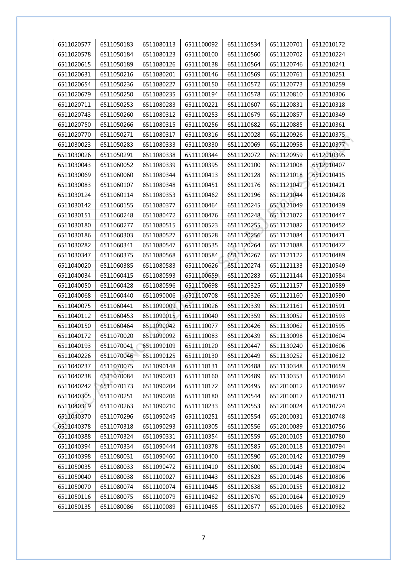| 6511020577 | 6511050183 | 6511080113 | 6511100092 | 6511110534 | 6511120701 | 6512010172 |
|------------|------------|------------|------------|------------|------------|------------|
| 6511020578 | 6511050184 | 6511080123 | 6511100100 | 6511110560 | 6511120702 | 6512010224 |
| 6511020615 | 6511050189 | 6511080126 | 6511100138 | 6511110564 | 6511120746 | 6512010241 |
| 6511020631 | 6511050216 | 6511080201 | 6511100146 | 6511110569 | 6511120761 | 6512010251 |
| 6511020654 | 6511050236 | 6511080227 | 6511100150 | 6511110572 | 6511120773 | 6512010259 |
| 6511020679 | 6511050250 | 6511080235 | 6511100194 | 6511110578 | 6511120810 | 6512010306 |
| 6511020711 | 6511050253 | 6511080283 | 6511100221 | 6511110607 | 6511120831 | 6512010318 |
| 6511020743 | 6511050260 | 6511080312 | 6511100253 | 6511110679 | 6511120857 | 6512010349 |
| 6511020750 | 6511050266 | 6511080315 | 6511100256 | 6511110682 | 6511120885 | 6512010361 |
| 6511020770 | 6511050271 | 6511080317 | 6511100316 | 6511120028 | 6511120926 | 6512010375 |
| 6511030023 | 6511050283 | 6511080333 | 6511100330 | 6511120069 | 6511120958 | 6512010377 |
| 6511030026 | 6511050291 | 6511080338 | 6511100344 | 6511120072 | 6511120959 | 6512010395 |
| 6511030043 | 6511060052 | 6511080339 | 6511100395 | 6511120100 | 6511121008 | 6512010407 |
| 6511030069 | 6511060060 | 6511080344 | 6511100413 | 6511120128 | 6511121018 | 6512010415 |
| 6511030083 | 6511060107 | 6511080348 | 6511100451 | 6511120176 | 6511121042 | 6512010421 |
| 6511030124 | 6511060114 | 6511080353 | 6511100462 | 6511120196 | 6511121044 | 6512010428 |
| 6511030142 | 6511060155 | 6511080377 | 6511100464 | 6511120245 | 6511121049 | 6512010439 |
| 6511030151 | 6511060248 | 6511080472 | 6511100476 | 6511120248 | 6511121072 | 6512010447 |
| 6511030180 | 6511060277 | 6511080515 | 6511100523 | 6511120255 | 6511121082 | 6512010452 |
| 6511030186 | 6511060303 | 6511080527 | 6511100528 | 6511120256 | 6511121084 | 6512010471 |
| 6511030282 | 6511060341 | 6511080547 | 6511100535 | 6511120264 | 6511121088 | 6512010472 |
| 6511030347 | 6511060375 | 6511080568 | 6511100584 | 6511120267 | 6511121122 | 6512010489 |
| 6511040020 | 6511060385 | 6511080583 | 6511100626 | 6511120274 | 6511121133 | 6512010549 |
| 6511040034 | 6511060415 | 6511080593 | 6511100659 | 6511120283 | 6511121144 | 6512010584 |
| 6511040050 | 6511060428 | 6511080596 | 6511100698 | 6511120325 | 6511121157 | 6512010589 |
| 6511040068 | 6511060440 | 6511090006 | 6511100708 | 6511120326 | 6511121160 | 6512010590 |
| 6511040075 | 6511060441 | 6511090009 | 6511110026 | 6511120339 | 6511121161 | 6512010591 |
| 6511040112 | 6511060453 | 6511090015 | 6511110040 | 6511120359 | 6511130052 | 6512010593 |
| 6511040150 | 6511060464 | 6511090042 | 6511110077 | 6511120426 | 6511130062 | 6512010595 |
| 6511040172 | 6511070020 | 6511090092 | 6511110083 | 6511120439 | 6511130098 | 6512010604 |
| 6511040193 | 6511070041 | 6511090109 | 6511110120 | 6511120447 | 6511130240 | 6512010606 |
| 6511040226 | 6511070046 | 6511090125 | 6511110130 | 6511120449 | 6511130252 | 6512010612 |
| 6511040237 | 6511070075 | 6511090148 | 6511110131 | 6511120488 | 6511130348 | 6512010659 |
| 6511040238 | 6511070084 | 6511090203 | 6511110160 | 6511120489 | 6511130353 | 6512010664 |
| 6511040242 | 6511070173 | 6511090204 | 6511110172 | 6511120495 | 6512010012 | 6512010697 |
| 6511040305 | 6511070251 | 6511090206 | 6511110180 | 6511120544 | 6512010017 | 6512010711 |
| 6511040319 | 6511070263 | 6511090210 | 6511110233 | 6511120553 | 6512010024 | 6512010724 |
| 6511040370 | 6511070296 | 6511090245 | 6511110251 | 6511120554 | 6512010031 | 6512010748 |
| 6511040378 | 6511070318 | 6511090293 | 6511110305 | 6511120556 | 6512010089 | 6512010756 |
| 6511040388 | 6511070324 | 6511090331 | 6511110354 | 6511120559 | 6512010105 | 6512010780 |
| 6511040394 | 6511070334 | 6511090444 | 6511110378 | 6511120585 | 6512010118 | 6512010794 |
| 6511040398 | 6511080031 | 6511090460 | 6511110400 | 6511120590 | 6512010142 | 6512010799 |
| 6511050035 | 6511080033 | 6511090472 | 6511110410 | 6511120600 | 6512010143 | 6512010804 |
| 6511050040 | 6511080038 | 6511100027 | 6511110443 | 6511120623 | 6512010146 | 6512010806 |
| 6511050070 | 6511080074 | 6511100074 | 6511110445 | 6511120638 | 6512010155 | 6512010812 |
| 6511050116 | 6511080075 | 6511100079 | 6511110462 | 6511120670 | 6512010164 | 6512010929 |
| 6511050135 | 6511080086 | 6511100089 | 6511110465 | 6511120677 | 6512010166 | 6512010982 |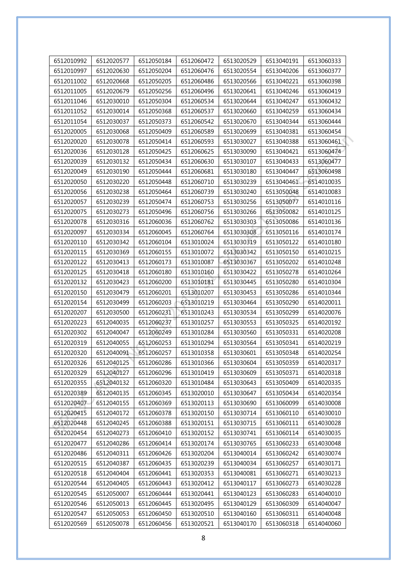| 6512010992 | 6512020577 | 6512050184 | 6512060472 | 6513020529 | 6513040191 | 6513060333 |
|------------|------------|------------|------------|------------|------------|------------|
| 6512010997 | 6512020630 | 6512050204 | 6512060476 | 6513020554 | 6513040206 | 6513060377 |
| 6512011002 | 6512020668 | 6512050205 | 6512060486 | 6513020566 | 6513040221 | 6513060398 |
| 6512011005 | 6512020679 | 6512050256 | 6512060496 | 6513020641 | 6513040246 | 6513060419 |
| 6512011046 | 6512030010 | 6512050304 | 6512060534 | 6513020644 | 6513040247 | 6513060432 |
| 6512011052 | 6512030014 | 6512050368 | 6512060537 | 6513020660 | 6513040259 | 6513060434 |
| 6512011054 | 6512030037 | 6512050373 | 6512060542 | 6513020670 | 6513040344 | 6513060444 |
| 6512020005 | 6512030068 | 6512050409 | 6512060589 | 6513020699 | 6513040381 | 6513060454 |
| 6512020020 | 6512030078 | 6512050414 | 6512060593 | 6513030027 | 6513040388 | 6513060461 |
| 6512020036 | 6512030128 | 6512050425 | 6512060625 | 6513030090 | 6513040421 | 6513060474 |
| 6512020039 | 6512030132 | 6512050434 | 6512060630 | 6513030107 | 6513040433 | 6513060477 |
| 6512020049 | 6512030190 | 6512050444 | 6512060681 | 6513030180 | 6513040447 | 6513060498 |
| 6512020050 | 6512030220 | 6512050448 | 6512060710 | 6513030239 | 6513040461 | 6514010035 |
| 6512020056 | 6512030238 | 6512050464 | 6512060739 | 6513030240 | 6513050048 | 6514010083 |
| 6512020057 | 6512030239 | 6512050474 | 6512060753 | 6513030256 | 6513050077 | 6514010116 |
| 6512020075 | 6512030273 | 6512050496 | 6512060756 | 6513030266 | 6513050082 | 6514010125 |
| 6512020078 | 6512030316 | 6512060036 | 6512060762 | 6513030303 | 6513050086 | 6514010136 |
| 6512020097 | 6512030334 | 6512060045 | 6512060764 | 6513030308 | 6513050116 | 6514010174 |
| 6512020110 | 6512030342 | 6512060104 | 6513010024 | 6513030319 | 6513050122 | 6514010180 |
| 6512020115 | 6512030369 | 6512060155 | 6513010072 | 6513030342 | 6513050150 | 6514010215 |
| 6512020122 | 6512030413 | 6512060173 | 6513010087 | 6513030367 | 6513050202 | 6514010248 |
| 6512020125 | 6512030418 | 6512060180 | 6513010160 | 6513030422 | 6513050278 | 6514010264 |
| 6512020132 | 6512030423 | 6512060200 | 6513010181 | 6513030445 | 6513050280 | 6514010304 |
| 6512020150 | 6512030479 | 6512060201 | 6513010207 | 6513030453 | 6513050286 | 6514010344 |
| 6512020154 | 6512030499 | 6512060203 | 6513010219 | 6513030464 | 6513050290 | 6514020011 |
| 6512020207 | 6512030500 | 6512060231 | 6513010243 | 6513030534 | 6513050299 | 6514020076 |
| 6512020223 | 6512040035 | 6512060237 | 6513010257 | 6513030553 | 6513050325 | 6514020192 |
| 6512020302 | 6512040047 | 6512060249 | 6513010284 | 6513030560 | 6513050331 | 6514020208 |
| 6512020319 | 6512040055 | 6512060253 | 6513010294 | 6513030564 | 6513050341 | 6514020219 |
| 6512020320 | 6512040091 | 6512060257 | 6513010358 | 6513030601 | 6513050348 | 6514020254 |
| 6512020326 | 6512040125 | 6512060286 | 6513010366 | 6513030604 | 6513050359 | 6514020317 |
| 6512020329 | 6512040127 | 6512060296 | 6513010419 | 6513030609 | 6513050371 | 6514020318 |
| 6512020355 | 6512040132 | 6512060320 | 6513010484 | 6513030643 | 6513050409 | 6514020335 |
| 6512020389 | 6512040135 | 6512060345 | 6513020010 | 6513030647 | 6513050434 | 6514020354 |
| 6512020407 | 6512040155 | 6512060369 | 6513020113 | 6513030690 | 6513060099 | 6514030008 |
| 6512020415 | 6512040172 | 6512060378 | 6513020150 | 6513030714 | 6513060110 | 6514030010 |
| 6512020448 | 6512040245 | 6512060388 | 6513020151 | 6513030715 | 6513060111 | 6514030028 |
| 6512020454 | 6512040273 | 6512060410 | 6513020152 | 6513030741 | 6513060114 | 6514030035 |
| 6512020477 | 6512040286 | 6512060414 | 6513020174 | 6513030765 | 6513060233 | 6514030048 |
| 6512020486 | 6512040311 | 6512060426 | 6513020204 | 6513040014 | 6513060242 | 6514030074 |
| 6512020515 | 6512040387 | 6512060435 | 6513020239 | 6513040034 | 6513060257 | 6514030171 |
| 6512020518 | 6512040404 | 6512060441 | 6513020353 | 6513040081 | 6513060271 | 6514030213 |
| 6512020544 | 6512040405 | 6512060443 | 6513020412 | 6513040117 | 6513060273 | 6514030228 |
| 6512020545 | 6512050007 | 6512060444 | 6513020441 | 6513040123 | 6513060283 | 6514040010 |
| 6512020546 | 6512050013 | 6512060445 | 6513020495 | 6513040129 | 6513060309 | 6514040047 |
| 6512020547 | 6512050053 | 6512060450 | 6513020510 | 6513040160 | 6513060311 | 6514040048 |
| 6512020569 | 6512050078 | 6512060456 | 6513020521 | 6513040170 | 6513060318 | 6514040060 |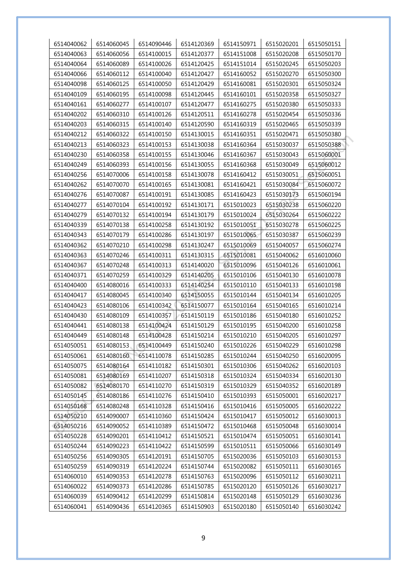| 6514040062 | 6514060045 | 6514090446 | 6514120369 | 6514150971 | 6515020201 | 6515050151 |
|------------|------------|------------|------------|------------|------------|------------|
| 6514040063 | 6514060056 | 6514100015 | 6514120377 | 6514151008 | 6515020208 | 6515050170 |
| 6514040064 | 6514060089 | 6514100026 | 6514120425 | 6514151014 | 6515020245 | 6515050203 |
| 6514040066 | 6514060112 | 6514100040 | 6514120427 | 6514160052 | 6515020270 | 6515050300 |
| 6514040098 | 6514060125 | 6514100050 | 6514120429 | 6514160081 | 6515020301 | 6515050324 |
| 6514040109 | 6514060195 | 6514100098 | 6514120445 | 6514160101 | 6515020358 | 6515050327 |
| 6514040161 | 6514060277 | 6514100107 | 6514120477 | 6514160275 | 6515020380 | 6515050333 |
| 6514040202 | 6514060310 | 6514100126 | 6514120511 | 6514160278 | 6515020454 | 6515050336 |
| 6514040203 | 6514060315 | 6514100140 | 6514120590 | 6514160319 | 6515020465 | 6515050339 |
| 6514040212 | 6514060322 | 6514100150 | 6514130015 | 6514160351 | 6515020471 | 6515050380 |
| 6514040213 | 6514060323 | 6514100153 | 6514130038 | 6514160364 | 6515030037 | 6515050388 |
| 6514040230 | 6514060358 | 6514100155 | 6514130046 | 6514160367 | 6515030043 | 6515060001 |
| 6514040249 | 6514060393 | 6514100156 | 6514130055 | 6514160368 | 6515030049 | 6515060012 |
| 6514040256 | 6514070006 | 6514100158 | 6514130078 | 6514160412 | 6515030051 | 6515060051 |
| 6514040262 | 6514070070 | 6514100165 | 6514130081 | 6514160421 | 6515030084 | 6515060072 |
| 6514040276 | 6514070087 | 6514100191 | 6514130085 | 6514160423 | 6515030173 | 6515060194 |
| 6514040277 | 6514070104 | 6514100192 | 6514130171 | 6515010023 | 6515030238 | 6515060220 |
| 6514040279 | 6514070132 | 6514100194 | 6514130179 | 6515010024 | 6515030264 | 6515060222 |
| 6514040339 | 6514070138 | 6514100258 | 6514130192 | 6515010051 | 6515030278 | 6515060225 |
| 6514040343 | 6514070179 | 6514100286 | 6514130197 | 6515010065 | 6515030387 | 6515060239 |
| 6514040362 | 6514070210 | 6514100298 | 6514130247 | 6515010069 | 6515040057 | 6515060274 |
| 6514040363 | 6514070246 | 6514100311 | 6514130315 | 6515010081 | 6515040062 | 6516010060 |
| 6514040367 | 6514070248 | 6514100313 | 6514140020 | 6515010096 | 6515040126 | 6516010061 |
| 6514040371 | 6514070259 | 6514100329 | 6514140205 | 6515010106 | 6515040130 | 6516010078 |
| 6514040400 | 6514080016 | 6514100333 | 6514140254 | 6515010110 | 6515040133 | 6516010198 |
| 6514040417 | 6514080045 | 6514100340 | 6514150055 | 6515010144 | 6515040134 | 6516010205 |
| 6514040423 | 6514080106 | 6514100342 | 6514150077 | 6515010164 | 6515040165 | 6516010214 |
| 6514040430 | 6514080109 | 6514100357 | 6514150119 | 6515010186 | 6515040180 | 6516010252 |
| 6514040441 | 6514080138 | 6514100424 | 6514150129 | 6515010195 | 6515040200 | 6516010258 |
| 6514040449 | 6514080148 | 6514100428 | 6514150214 | 6515010210 | 6515040205 | 6516010297 |
| 6514050051 | 6514080153 | 6514100449 | 6514150240 | 6515010226 | 6515040229 | 6516010298 |
| 6514050061 | 6514080160 | 6514110078 | 6514150285 | 6515010244 | 6515040250 | 6516020095 |
| 6514050075 | 6514080164 | 6514110182 | 6514150301 | 6515010306 | 6515040262 | 6516020103 |
| 6514050081 | 6514080169 | 6514110207 | 6514150318 | 6515010324 | 6515040334 | 6516020130 |
| 6514050082 | 6514080170 | 6514110270 | 6514150319 | 6515010329 | 6515040352 | 6516020189 |
| 6514050145 | 6514080186 | 6514110276 | 6514150410 | 6515010393 | 6515050001 | 6516020217 |
| 6514050168 | 6514080248 | 6514110328 | 6514150416 | 6515010416 | 6515050005 | 6516020222 |
| 6514050210 | 6514090007 | 6514110360 | 6514150424 | 6515010417 | 6515050012 | 6516030013 |
| 6514050216 | 6514090052 | 6514110389 | 6514150472 | 6515010468 | 6515050048 | 6516030014 |
| 6514050228 | 6514090201 | 6514110412 | 6514150521 | 6515010474 | 6515050051 | 6516030141 |
| 6514050244 | 6514090223 | 6514110422 | 6514150599 | 6515010511 | 6515050066 | 6516030149 |
| 6514050256 | 6514090305 | 6514120191 | 6514150705 | 6515020036 | 6515050103 | 6516030153 |
| 6514050259 | 6514090319 | 6514120224 | 6514150744 | 6515020082 | 6515050111 | 6516030165 |
| 6514060010 | 6514090353 | 6514120278 | 6514150763 | 6515020096 | 6515050112 | 6516030211 |
| 6514060022 | 6514090373 | 6514120286 | 6514150785 | 6515020120 | 6515050126 | 6516030217 |
| 6514060039 | 6514090412 | 6514120299 | 6514150814 | 6515020148 | 6515050129 | 6516030236 |
| 6514060041 | 6514090436 | 6514120365 | 6514150903 | 6515020180 | 6515050140 | 6516030242 |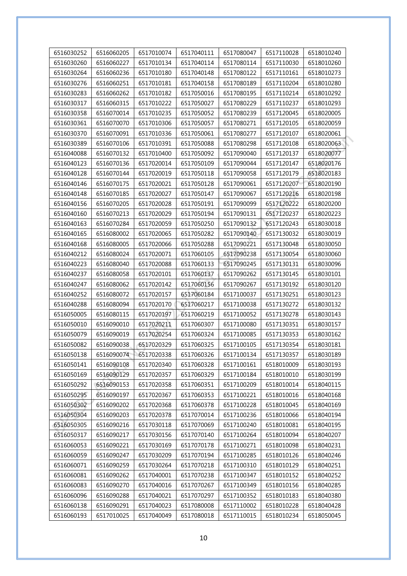| 6516030252               | 6516060205               | 6517010074               | 6517040111               | 6517080047               | 6517110028               | 6518010240 |
|--------------------------|--------------------------|--------------------------|--------------------------|--------------------------|--------------------------|------------|
| 6516030260               | 6516060227               | 6517010134               | 6517040114               | 6517080114               | 6517110030               | 6518010260 |
| 6516030264               | 6516060236               | 6517010180               | 6517040148               | 6517080122               | 6517110161               | 6518010273 |
| 6516030276               | 6516060251               | 6517010181               | 6517040158               | 6517080189               | 6517110204               | 6518010280 |
| 6516030283               | 6516060262               | 6517010182               | 6517050016               | 6517080195               | 6517110214               | 6518010292 |
| 6516030317               | 6516060315               | 6517010222               | 6517050027               | 6517080229               | 6517110237               | 6518010293 |
| 6516030358               | 6516070014               | 6517010235               | 6517050052               | 6517080239               | 6517120045               | 6518020005 |
| 6516030361               | 6516070070               | 6517010306               | 6517050057               | 6517080271               | 6517120105               | 6518020059 |
| 6516030370               | 6516070091               | 6517010336               | 6517050061               | 6517080277               | 6517120107               | 6518020061 |
| 6516030389               | 6516070106               | 6517010391               | 6517050088               | 6517080298               | 6517120108               | 6518020063 |
| 6516040088               | 6516070132               | 6517010400               | 6517050092               | 6517090040               | 6517120137               | 6518020077 |
| 6516040123               | 6516070136               | 6517020014               | 6517050109               | 6517090044               | 6517120147               | 6518020176 |
| 6516040128               | 6516070144               | 6517020019               | 6517050118               | 6517090058               | 6517120179               | 6518020183 |
| 6516040146               | 6516070175               | 6517020021               | 6517050128               | 6517090061               | 6517120207               | 6518020190 |
| 6516040148               | 6516070185               | 6517020027               | 6517050147               | 6517090067               | 6517120216               | 6518020198 |
| 6516040156               | 6516070205               | 6517020028               | 6517050191               | 6517090099               | 6517120222               | 6518020200 |
| 6516040160               | 6516070213               | 6517020029               | 6517050194               | 6517090131               | 6517120237               | 6518020223 |
| 6516040163               | 6516070284               | 6517020059               | 6517050250               | 6517090132               | 6517120243               | 6518030018 |
| 6516040165               | 6516080002               | 6517020065               | 6517050282               | 6517090140               | 6517130032               | 6518030019 |
| 6516040168               | 6516080005               | 6517020066               | 6517050288               | 6517090221               | 6517130048               | 6518030050 |
| 6516040212               | 6516080024               | 6517020071               | 6517060105               | 6517090238               | 6517130054               | 6518030060 |
| 6516040223               | 6516080040               | 6517020088               | 6517060133               | 6517090245               | 6517130131               | 6518030096 |
| 6516040237               | 6516080058               | 6517020101               | 6517060137               | 6517090262               | 6517130145               | 6518030101 |
| 6516040247               | 6516080062               | 6517020142               | 6517060156               | 6517090267               | 6517130192               | 6518030120 |
| 6516040252               | 6516080072               | 6517020157               | 6517060184               | 6517100037               | 6517130251               | 6518030123 |
| 6516040288               | 6516080094               | 6517020170               | 6517060217               | 6517100038               | 6517130272               | 6518030132 |
| 6516050005               | 6516080115               | 6517020197               | 6517060219               | 6517100052               | 6517130278               | 6518030143 |
| 6516050010               | 6516090010               | 6517020211               | 6517060307               | 6517100080               | 6517130351               | 6518030157 |
| 6516050079               | 6516090019               | 6517020254               | 6517060324               | 6517100085               | 6517130353               | 6518030162 |
| 6516050082               | 6516090038               | 6517020329               | 6517060325               | 6517100105               | 6517130354               | 6518030181 |
| 6516050138               | 6516090074               | 6517020338               | 6517060326               | 6517100134               | 6517130357               | 6518030189 |
| 6516050141               | 6516090108               | 6517020340               | 6517060328               | 6517100161               | 6518010009               | 6518030193 |
| 6516050169               | 6516090129               | 6517020357               | 6517060329               | 6517100184               | 6518010010               | 6518030199 |
| 6516050292               | 6516090153               | 6517020358               | 6517060351               | 6517100209               | 6518010014               | 6518040115 |
| 6516050295               | 6516090197               | 6517020367               | 6517060353               | 6517100221               | 6518010016               | 6518040168 |
| 6516050302               | 6516090202               | 6517020368               | 6517060378               | 6517100228               | 6518010045               | 6518040169 |
| 6516050304               | 6516090203               | 6517020378               | 6517070014               | 6517100236               | 6518010066               | 6518040194 |
| 6516050305               | 6516090216               | 6517030118               | 6517070069               | 6517100240               | 6518010081               | 6518040195 |
| 6516050317               | 6516090217               | 6517030156               | 6517070140               | 6517100264               | 6518010094               | 6518040207 |
| 6516060053               | 6516090221               | 6517030169               | 6517070178               | 6517100271               | 6518010098               | 6518040231 |
| 6516060059<br>6516060071 | 6516090247<br>6516090259 | 6517030209<br>6517030264 | 6517070194<br>6517070218 | 6517100285<br>6517100310 | 6518010126<br>6518010129 | 6518040246 |
|                          |                          |                          |                          |                          |                          | 6518040251 |
| 6516060081               | 6516090262               | 6517040001               | 6517070238               | 6517100347               | 6518010152               | 6518040252 |
| 6516060083               | 6516090270               | 6517040016               | 6517070267               | 6517100349               | 6518010156               | 6518040285 |
| 6516060096<br>6516060138 | 6516090288<br>6516090291 | 6517040021<br>6517040023 | 6517070297               | 6517100352<br>6517110002 | 6518010183<br>6518010228 | 6518040380 |
|                          |                          |                          | 6517080008               |                          |                          | 6518040428 |
| 6516060193               | 6517010025               | 6517040049               | 6517080018               | 6517110015               | 6518010234               | 6518050045 |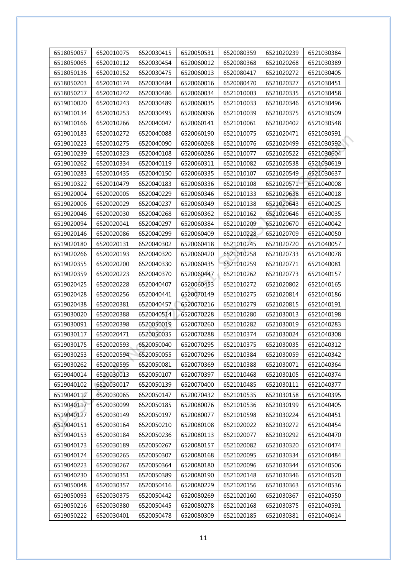| 6518050057 | 6520010075 | 6520030415 | 6520050531 | 6520080359 | 6521020239 | 6521030384 |
|------------|------------|------------|------------|------------|------------|------------|
| 6518050065 | 6520010112 | 6520030454 | 6520060012 | 6520080368 | 6521020268 | 6521030389 |
| 6518050136 | 6520010152 | 6520030475 | 6520060013 | 6520080417 | 6521020272 | 6521030405 |
| 6518050203 | 6520010174 | 6520030484 | 6520060016 | 6520080470 | 6521020327 | 6521030451 |
| 6518050217 | 6520010242 | 6520030486 | 6520060034 | 6521010003 | 6521020335 | 6521030458 |
| 6519010020 | 6520010243 | 6520030489 | 6520060035 | 6521010033 | 6521020346 | 6521030496 |
| 6519010134 | 6520010253 | 6520030495 | 6520060096 | 6521010039 | 6521020375 | 6521030509 |
| 6519010166 | 6520010266 | 6520040047 | 6520060141 | 6521010061 | 6521020402 | 6521030548 |
| 6519010183 | 6520010272 | 6520040088 | 6520060190 | 6521010075 | 6521020471 | 6521030591 |
| 6519010223 | 6520010275 | 6520040090 | 6520060268 | 6521010076 | 6521020499 | 6521030592 |
| 6519010239 | 6520010323 | 6520040108 | 6520060286 | 6521010077 | 6521020522 | 6521030604 |
| 6519010262 | 6520010334 | 6520040119 | 6520060311 | 6521010082 | 6521020538 | 6521030619 |
| 6519010283 | 6520010435 | 6520040150 | 6520060335 | 6521010107 | 6521020549 | 6521030637 |
| 6519010322 | 6520010479 | 6520040183 | 6520060336 | 6521010108 | 6521020571 | 6521040008 |
| 6519020004 | 6520020005 | 6520040229 | 6520060346 | 6521010133 | 6521020638 | 6521040018 |
| 6519020006 | 6520020029 | 6520040237 | 6520060349 | 6521010138 | 6521020643 | 6521040025 |
| 6519020046 | 6520020030 | 6520040268 | 6520060362 | 6521010162 | 6521020646 | 6521040035 |
| 6519020094 | 6520020041 | 6520040297 | 6520060384 | 6521010209 | 6521020670 | 6521040042 |
| 6519020146 | 6520020086 | 6520040299 | 6520060409 | 6521010228 | 6521020709 | 6521040050 |
| 6519020180 | 6520020131 | 6520040302 | 6520060418 | 6521010245 | 6521020720 | 6521040057 |
| 6519020266 | 6520020193 | 6520040320 | 6520060420 | 6521010258 | 6521020733 | 6521040078 |
| 6519020355 | 6520020200 | 6520040330 | 6520060435 | 6521010259 | 6521020771 | 6521040081 |
| 6519020359 | 6520020223 | 6520040370 | 6520060447 | 6521010262 | 6521020773 | 6521040157 |
| 6519020425 | 6520020228 | 6520040407 | 6520060453 | 6521010272 | 6521020802 | 6521040165 |
| 6519020428 | 6520020256 | 6520040441 | 6520070149 | 6521010275 | 6521020814 | 6521040186 |
| 6519020438 | 6520020381 | 6520040457 | 6520070216 | 6521010279 | 6521020815 | 6521040191 |
| 6519030020 | 6520020388 | 6520040514 | 6520070228 | 6521010280 | 6521030013 | 6521040198 |
| 6519030091 | 6520020398 | 6520050019 | 6520070260 | 6521010282 | 6521030019 | 6521040283 |
| 6519030117 | 6520020471 | 6520050035 | 6520070288 | 6521010374 | 6521030024 | 6521040308 |
| 6519030175 | 6520020593 | 6520050040 | 6520070295 | 6521010375 | 6521030035 | 6521040312 |
| 6519030253 | 6520020594 | 6520050055 | 6520070296 | 6521010384 | 6521030059 | 6521040342 |
| 6519030262 | 6520020595 | 6520050081 | 6520070369 | 6521010388 | 6521030071 | 6521040364 |
| 6519040014 | 6520030013 | 6520050107 | 6520070397 | 6521010468 | 6521030105 | 6521040374 |
| 6519040102 | 6520030017 | 6520050139 | 6520070400 | 6521010485 | 6521030111 | 6521040377 |
| 6519040112 | 6520030065 | 6520050147 | 6520070432 | 6521010535 | 6521030158 | 6521040395 |
| 6519040117 | 6520030099 | 6520050185 | 6520080076 | 6521010536 | 6521030199 | 6521040405 |
| 6519040127 | 6520030149 | 6520050197 | 6520080077 | 6521010598 | 6521030224 | 6521040451 |
| 6519040151 | 6520030164 | 6520050210 | 6520080108 | 6521020022 | 6521030272 | 6521040454 |
| 6519040153 | 6520030184 | 6520050236 | 6520080113 | 6521020077 | 6521030292 | 6521040470 |
| 6519040173 | 6520030189 | 6520050267 | 6520080157 | 6521020082 | 6521030320 | 6521040474 |
| 6519040174 | 6520030265 | 6520050307 | 6520080168 | 6521020095 | 6521030334 | 6521040484 |
| 6519040223 | 6520030267 | 6520050364 | 6520080180 | 6521020096 | 6521030344 | 6521040506 |
| 6519040230 | 6520030351 | 6520050389 | 6520080190 | 6521020148 | 6521030346 | 6521040520 |
| 6519050048 | 6520030357 | 6520050416 | 6520080229 | 6521020156 | 6521030363 | 6521040536 |
| 6519050093 | 6520030375 | 6520050442 | 6520080269 | 6521020160 | 6521030367 | 6521040550 |
| 6519050216 | 6520030380 | 6520050445 | 6520080278 | 6521020168 | 6521030375 | 6521040591 |
| 6519050222 | 6520030401 | 6520050478 | 6520080309 | 6521020185 | 6521030381 | 6521040614 |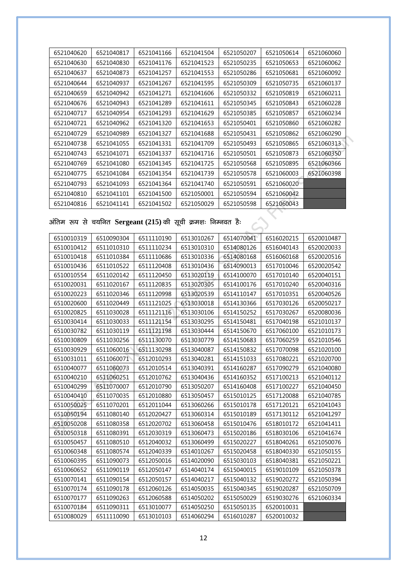| 6521040620 | 6521040817 | 6521041166 | 6521041504 | 6521050207 | 6521050614 | 6521060060 |
|------------|------------|------------|------------|------------|------------|------------|
| 6521040630 | 6521040830 | 6521041176 | 6521041523 | 6521050235 | 6521050653 | 6521060062 |
| 6521040637 | 6521040873 | 6521041257 | 6521041553 | 6521050286 | 6521050681 | 6521060092 |
| 6521040644 | 6521040937 | 6521041267 | 6521041595 | 6521050309 | 6521050735 | 6521060137 |
| 6521040659 | 6521040942 | 6521041271 | 6521041606 | 6521050332 | 6521050819 | 6521060211 |
| 6521040676 | 6521040943 | 6521041289 | 6521041611 | 6521050345 | 6521050843 | 6521060228 |
| 6521040717 | 6521040954 | 6521041293 | 6521041629 | 6521050385 | 6521050857 | 6521060234 |
| 6521040721 | 6521040962 | 6521041320 | 6521041653 | 6521050401 | 6521050860 | 6521060282 |
| 6521040729 | 6521040989 | 6521041327 | 6521041688 | 6521050431 | 6521050862 | 6521060290 |
| 6521040738 | 6521041055 | 6521041331 | 6521041709 | 6521050493 | 6521050865 | 6521060313 |
| 6521040743 | 6521041071 | 6521041337 | 6521041716 | 6521050501 | 6521050873 | 6521060350 |
| 6521040769 | 6521041080 | 6521041345 | 6521041725 | 6521050568 | 6521050895 | 6521060366 |
| 6521040775 | 6521041084 | 6521041354 | 6521041739 | 6521050578 | 6521060003 | 6521060398 |
| 6521040793 | 6521041093 | 6521041364 | 6521041740 | 6521050591 | 6521060020 |            |
| 6521040810 | 6521041101 | 6521041500 | 6521050001 | 6521050594 | 6521060042 |            |
| 6521040816 | 6521041141 | 6521041502 | 6521050029 | 6521050598 | 6521060043 |            |

**vafre :i ls p;fur Sergeant (215) dh l wph Øe'k% fuEuor gS%**

| 6510010319 | 6510090304 | 6511110190 | 6513010267 | 6514070041 | 6516020215 | 6520010487 |
|------------|------------|------------|------------|------------|------------|------------|
| 6510010412 | 6511010310 | 6511110234 | 6513010310 | 6514080126 | 6516040143 | 6520020033 |
| 6510010418 | 6511010384 | 6511110686 | 6513010336 | 6514080168 | 6516060168 | 6520020516 |
| 6510010436 | 6511010522 | 6511120408 | 6513010436 | 6514090013 | 6517010046 | 6520020542 |
| 6510010554 | 6511020142 | 6511120450 | 6513020119 | 6514100070 | 6517010140 | 6520040151 |
| 6510020031 | 6511020167 | 6511120835 | 6513020305 | 6514100176 | 6517010240 | 6520040316 |
| 6510020223 | 6511020346 | 6511120998 | 6513020539 | 6514110147 | 6517010351 | 6520040526 |
| 6510020600 | 6511020449 | 6511121025 | 6513030018 | 6514130366 | 6517030126 | 6520050217 |
| 6510020825 | 6511030028 | 6511121116 | 6513030106 | 6514150252 | 6517030267 | 6520080036 |
| 6510030414 | 6511030033 | 6511121154 | 6513030295 | 6514150481 | 6517040198 | 6521010137 |
| 6510030782 | 6511030119 | 6511121198 | 6513030444 | 6514150670 | 6517060100 | 6521010173 |
| 6510030809 | 6511030256 | 6511130070 | 6513030779 | 6514150683 | 6517060259 | 6521010546 |
| 6510030929 | 6511060016 | 6511130298 | 6513040087 | 6514150832 | 6517070098 | 6521020100 |
| 6510031011 | 6511060071 | 6512010293 | 6513040281 | 6514151033 | 6517080221 | 6521020700 |
| 6510040077 | 6511060073 | 6512010514 | 6513040391 | 6514160287 | 6517090279 | 6521040080 |
| 6510040210 | 6511060251 | 6512010762 | 6513040436 | 6514160352 | 6517100213 | 6521040112 |
| 6510040299 | 6511070007 | 6512010790 | 6513050207 | 6514160408 | 6517100227 | 6521040450 |
| 6510040410 | 6511070035 | 6512010880 | 6513050457 | 6515010125 | 6517120088 | 6521040785 |
| 6510050025 | 6511070201 | 6512011044 | 6513060266 | 6515010178 | 6517120121 | 6521041043 |
| 6510050194 | 6511080140 | 6512020427 | 6513060314 | 6515010189 | 6517130112 | 6521041297 |
| 6510050208 | 6511080358 | 6512020702 | 6513060458 | 6515010476 | 6518010172 | 6521041411 |
| 6510050318 | 6511080391 | 6512030319 | 6513060473 | 6515020186 | 6518030106 | 6521041674 |
| 6510050457 | 6511080510 | 6512040032 | 6513060499 | 6515020227 | 6518040261 | 6521050076 |
| 6510060348 | 6511080574 | 6512040339 | 6514010267 | 6515020458 | 6518040330 | 6521050155 |
| 6510060395 | 6511090073 | 6512050016 | 6514020090 | 6515030103 | 6518040381 | 6521050221 |
| 6510060652 | 6511090119 | 6512050147 | 6514040174 | 6515040015 | 6519010109 | 6521050378 |
| 6510070141 | 6511090154 | 6512050157 | 6514040217 | 6515040132 | 6519020272 | 6521050394 |
| 6510070174 | 6511090178 | 6512060126 | 6514050035 | 6515040345 | 6519020287 | 6521050709 |
| 6510070177 | 6511090263 | 6512060588 | 6514050202 | 6515050029 | 6519030276 | 6521060334 |
| 6510070184 | 6511090311 | 6513010077 | 6514050250 | 6515050135 | 6520010031 |            |
| 6510080029 | 6511110090 | 6513010103 | 6514060294 | 6516010287 | 6520010032 |            |